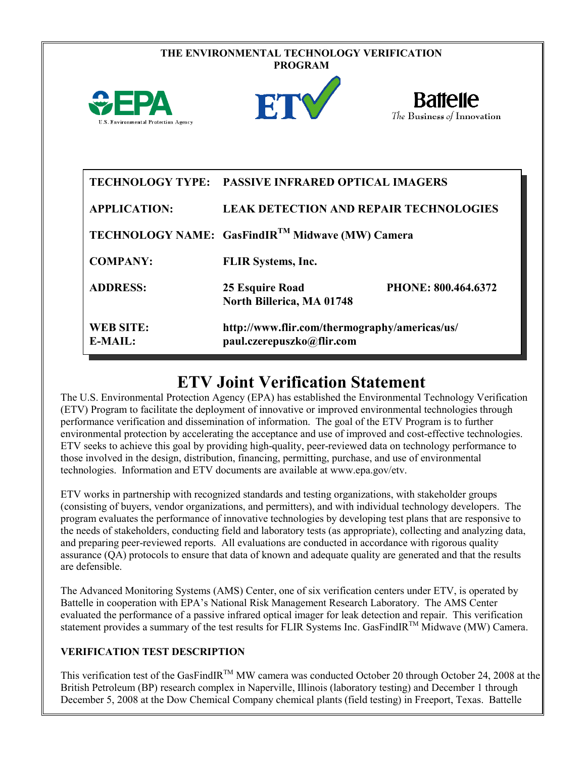|                                      | THE ENVIRONMENTAL TECHNOLOGY VERIFICATION<br><b>PROGRAM</b>                                        |
|--------------------------------------|----------------------------------------------------------------------------------------------------|
| U.S. Environmental Protection Agency | <b>Battelle</b><br>ET<br>The Business of Innovation                                                |
| <b>APPLICATION:</b>                  | TECHNOLOGY TYPE: PASSIVE INFRARED OPTICAL IMAGERS<br><b>LEAK DETECTION AND REPAIR TECHNOLOGIES</b> |
|                                      | TECHNOLOGY NAME: GasFindIR <sup>TM</sup> Midwave (MW) Camera                                       |
| <b>COMPANY:</b>                      | <b>FLIR</b> Systems, Inc.                                                                          |
| <b>ADDRESS:</b>                      | 25 Esquire Road<br>PHONE: 800.464.6372<br>North Billerica, MA 01748                                |
| <b>WEB SITE:</b><br>E-MAIL:          | http://www.flir.com/thermography/americas/us/<br>paul.czerepuszko@flir.com                         |

# **ETV Joint Verification Statement**

The U.S. Environmental Protection Agency (EPA) has established the Environmental Technology Verification (ETV) Program to facilitate the deployment of innovative or improved environmental technologies through performance verification and dissemination of information. The goal of the ETV Program is to further environmental protection by accelerating the acceptance and use of improved and cost-effective technologies. ETV seeks to achieve this goal by providing high-quality, peer-reviewed data on technology performance to those involved in the design, distribution, financing, permitting, purchase, and use of environmental technologies. Information and ETV documents are available at www.epa.gov/etv.

ETV works in partnership with recognized standards and testing organizations, with stakeholder groups (consisting of buyers, vendor organizations, and permitters), and with individual technology developers. The program evaluates the performance of innovative technologies by developing test plans that are responsive to the needs of stakeholders, conducting field and laboratory tests (as appropriate), collecting and analyzing data, and preparing peer-reviewed reports. All evaluations are conducted in accordance with rigorous quality assurance (QA) protocols to ensure that data of known and adequate quality are generated and that the results are defensible.

The Advanced Monitoring Systems (AMS) Center, one of six verification centers under ETV, is operated by Battelle in cooperation with EPA's National Risk Management Research Laboratory. The AMS Center evaluated the performance of a passive infrared optical imager for leak detection and repair. This verification statement provides a summary of the test results for FLIR Systems Inc. GasFindIR<sup>TM</sup> Midwave (MW) Camera.

#### **VERIFICATION TEST DESCRIPTION**

This verification test of the GasFindIR<sup>TM</sup> MW camera was conducted October 20 through October 24, 2008 at the British Petroleum (BP) research complex in Naperville, Illinois (laboratory testing) and December 1 through December 5, 2008 at the Dow Chemical Company chemical plants (field testing) in Freeport, Texas. Battelle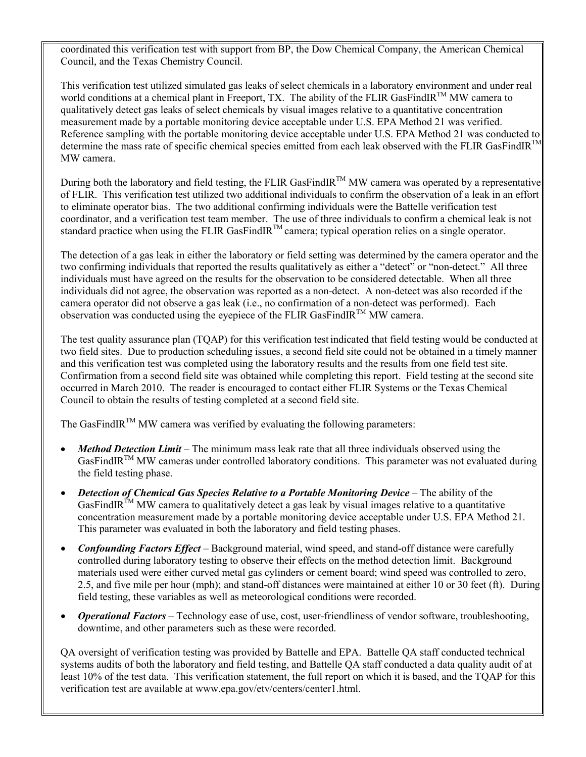coordinated this verification test with support from BP, the Dow Chemical Company, the American Chemical Council, and the Texas Chemistry Council.

This verification test utilized simulated gas leaks of select chemicals in a laboratory environment and under real world conditions at a chemical plant in Freeport, TX. The ability of the FLIR GasFindIR<sup>TM</sup> MW camera to qualitatively detect gas leaks of select chemicals by visual images relative to a quantitative concentration measurement made by a portable monitoring device acceptable under U.S. EPA Method 21 was verified. Reference sampling with the portable monitoring device acceptable under U.S. EPA Method 21 was conducted to determine the mass rate of specific chemical species emitted from each leak observed with the FLIR GasFindIR<sup>TM</sup> MW camera.

During both the laboratory and field testing, the FLIR GasFindIR<sup>TM</sup> MW camera was operated by a representative of FLIR. This verification test utilized two additional individuals to confirm the observation of a leak in an effort to eliminate operator bias. The two additional confirming individuals were the Battelle verification test coordinator, and a verification test team member. The use of three individuals to confirm a chemical leak is not standard practice when using the FLIR GasFindIR<sup>TM</sup> camera; typical operation relies on a single operator.

The detection of a gas leak in either the laboratory or field setting was determined by the camera operator and the two confirming individuals that reported the results qualitatively as either a "detect" or "non-detect." All three individuals must have agreed on the results for the observation to be considered detectable. When all three individuals did not agree, the observation was reported as a non-detect. A non-detect was also recorded if the camera operator did not observe a gas leak (i.e., no confirmation of a non-detect was performed). Each observation was conducted using the eyepiece of the FLIR GasFindIR<sup>TM</sup> MW camera.

The test quality assurance plan (TQAP) for this verification test indicated that field testing would be conducted at two field sites. Due to production scheduling issues, a second field site could not be obtained in a timely manner and this verification test was completed using the laboratory results and the results from one field test site. Confirmation from a second field site was obtained while completing this report. Field testing at the second site occurred in March 2010. The reader is encouraged to contact either FLIR Systems or the Texas Chemical Council to obtain the results of testing completed at a second field site.

The GasFindIR<sup>TM</sup> MW camera was verified by evaluating the following parameters:

- *Method Detection Limit* The minimum mass leak rate that all three individuals observed using the  $GasFindIR<sup>TM</sup> MW$  cameras under controlled laboratory conditions. This parameter was not evaluated duringthe field testing phase.
- *Detection of Chemical Gas Species Relative to a Portable Monitoring Device* **The ability of the** GasFindIR<sup>TM</sup> MW camera to qualitatively detect a gas leak by visual images relative to a quantitative concentration measurement made by a portable monitoring device acceptable under U.S. EPA Method 21. This parameter was evaluated in both the laboratory and field testing phases.
- *Confounding Factors Effect* Background material, wind speed, and stand-off distance were carefully controlled during laboratory testing to observe their effects on the method detection limit. Background materials used were either curved metal gas cylinders or cement board; wind speed was controlled to zero, 2.5, and five mile per hour (mph); and stand-off distances were maintained at either 10 or 30 feet (ft). During field testing, these variables as well as meteorological conditions were recorded.
- *Operational Factors* Technology ease of use, cost, user-friendliness of vendor software, troubleshooting, downtime, and other parameters such as these were recorded.

QA oversight of verification testing was provided by Battelle and EPA. Battelle QA staff conducted technical systems audits of both the laboratory and field testing, and Battelle QA staff conducted a data quality audit of at least 10% of the test data. This verification statement, the full report on which it is based, and the TQAP for this verification test are available at www.epa.gov/etv/centers/center1.html.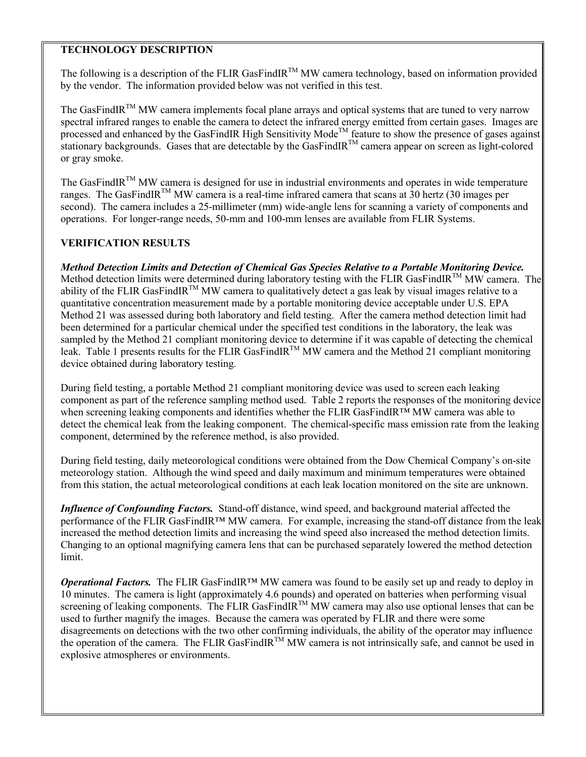#### **TECHNOLOGY DESCRIPTION**

The following is a description of the FLIR GasFindIR<sup>TM</sup> MW camera technology, based on information provided by the vendor. The information provided below was not verified in this test.

The GasFindIR™ MW camera implements focal plane arrays and optical systems that are tuned to very narrow spectral infrared ranges to enable the camera to detect the infrared energy emitted from certain gases. Images are processed and enhanced by the GasFindIR High Sensitivity Mode<sup>TM</sup> feature to show the presence of gases against stationary backgrounds. Gases that are detectable by the GasFindIR<sup>TM</sup> camera appear on screen as light-colored or gray smoke.

The GasFindIR™ MW camera is designed for use in industrial environments and operates in wide temperature ranges. The GasFindIR<sup>TM</sup> MW camera is a real-time infrared camera that scans at 30 hertz (30 images per second). The camera includes a 25-millimeter (mm) wide-angle lens for scanning a variety of components and operations. For longer-range needs, 50-mm and 100-mm lenses are available from FLIR Systems.

#### **VERIFICATION RESULTS**

*Method Detection Limits and Detection of Chemical Gas Species Relative to a Portable Monitoring Device.* Method detection limits were determined during laboratory testing with the FLIR GasFindIR<sup>TM</sup> MW camera. The ability of the FLIR GasFindIR<sup>TM</sup> MW camera to qualitatively detect a gas leak by visual images relative to a quantitative concentration measurement made by a portable monitoring device acceptable under U.S. EPA Method 21 was assessed during both laboratory and field testing. After the camera method detection limit had been determined for a particular chemical under the specified test conditions in the laboratory, the leak was sampled by the Method 21 compliant monitoring device to determine if it was capable of detecting the chemical leak. Table 1 presents results for the FLIR GasFindIR<sup>TM</sup> MW camera and the Method 21 compliant monitoring device obtained during laboratory testing.

During field testing, a portable Method 21 compliant monitoring device was used to screen each leaking component as part of the reference sampling method used. Table 2 reports the responses of the monitoring device when screening leaking components and identifies whether the FLIR GasFindIR™ MW camera was able to detect the chemical leak from the leaking component. The chemical-specific mass emission rate from the leaking component, determined by the reference method, is also provided.

During field testing, daily meteorological conditions were obtained from the Dow Chemical Company's on-site meteorology station. Although the wind speed and daily maximum and minimum temperatures were obtained from this station, the actual meteorological conditions at each leak location monitored on the site are unknown.

*Influence of Confounding Factors.* Stand-off distance, wind speed, and background material affected the performance of the FLIR GasFindIR™ MW camera. For example, increasing the stand-off distance from the leak increased the method detection limits and increasing the wind speed also increased the method detection limits. Changing to an optional magnifying camera lens that can be purchased separately lowered the method detection limit.

*Operational Factors.* The FLIR GasFindIR™ MW camera was found to be easily set up and ready to deploy in 10 minutes. The camera is light (approximately 4.6 pounds) and operated on batteries when performing visual screening of leaking components. The FLIR GasFindIR<sup>TM</sup> MW camera may also use optional lenses that can be used to further magnify the images. Because the camera was operated by FLIR and there were some disagreements on detections with the two other confirming individuals, the ability of the operator may influence the operation of the camera. The FLIR GasFindIR™ MW camera is not intrinsically safe, and cannot be used in explosive atmospheres or environments.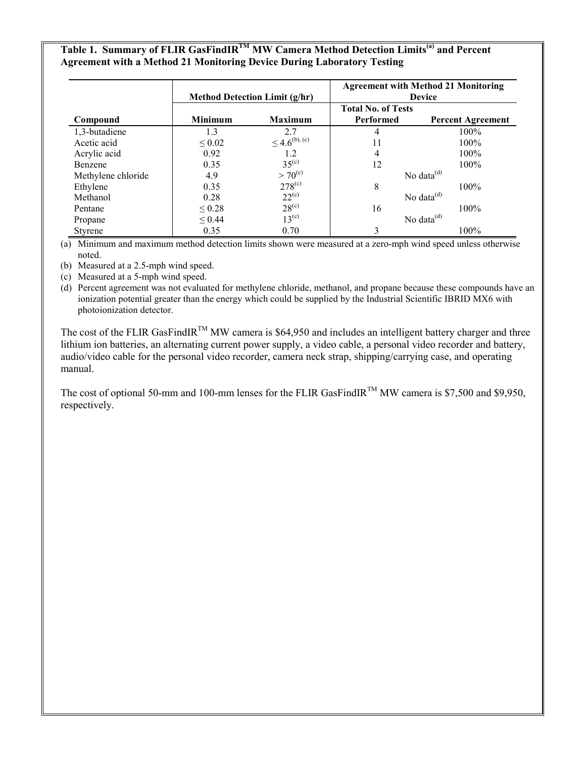## **Table 1. Summary of FLIR GasFindIRTM MW Camera Method Detection Limits(a) and Percent Agreement with a Method 21 Monitoring Device During Laboratory Testing**

|                    | <b>Method Detection Limit (g/hr)</b> |                       | <b>Agreement with Method 21 Monitoring</b><br><b>Device</b> |                          |  |
|--------------------|--------------------------------------|-----------------------|-------------------------------------------------------------|--------------------------|--|
| Compound           | <b>Minimum</b>                       | <b>Maximum</b>        | <b>Total No. of Tests</b><br>Performed                      |                          |  |
|                    |                                      |                       |                                                             | <b>Percent Agreement</b> |  |
| 1,3-butadiene      | 1.3                                  | 2.7                   |                                                             | $100\%$                  |  |
| Acetic acid        | $\leq 0.02$                          | $\leq 4.6^{(b), (c)}$ | 11                                                          | $100\%$                  |  |
| Acrylic acid       | 0.92                                 | 1.2                   | 4                                                           | $100\%$                  |  |
| Benzene            | 0.35                                 | $35^{(c)}$            | 12                                                          | $100\%$                  |  |
| Methylene chloride | 4.9                                  | $> 70^{\rm (c)}$      | No data $^{(d)}$                                            |                          |  |
| Ethylene           | 0.35                                 | $278^{(c)}$           | 8                                                           | 100%                     |  |
| Methanol           | 0.28                                 | $22^{(c)}$            |                                                             | No data $^{(d)}$         |  |
| Pentane            | $\leq 0.28$                          | $28^{(c)}$            | 16                                                          | 100%                     |  |
| Propane            | $\leq 0.44$                          | $13^{(c)}$            |                                                             | No data $^{(d)}$         |  |
| Styrene            | 0.35                                 | 0.70                  |                                                             | $100\%$                  |  |

(a) Minimum and maximum method detection limits shown were measured at a zero-mph wind speed unless otherwise noted.

(b) Measured at a 2.5-mph wind speed.

(c) Measured at a 5-mph wind speed.

(d) Percent agreement was not evaluated for methylene chloride, methanol, and propane because these compounds have an ionization potential greater than the energy which could be supplied by the Industrial Scientific IBRID MX6 with photoionization detector.

The cost of the FLIR GasFindIR<sup>TM</sup> MW camera is \$64,950 and includes an intelligent battery charger and three lithium ion batteries, an alternating current power supply, a video cable, a personal video recorder and battery, audio/video cable for the personal video recorder, camera neck strap, shipping/carrying case, and operating manual.

The cost of optional 50-mm and 100-mm lenses for the FLIR GasFindIR<sup>TM</sup> MW camera is \$7,500 and \$9,950, respectively.